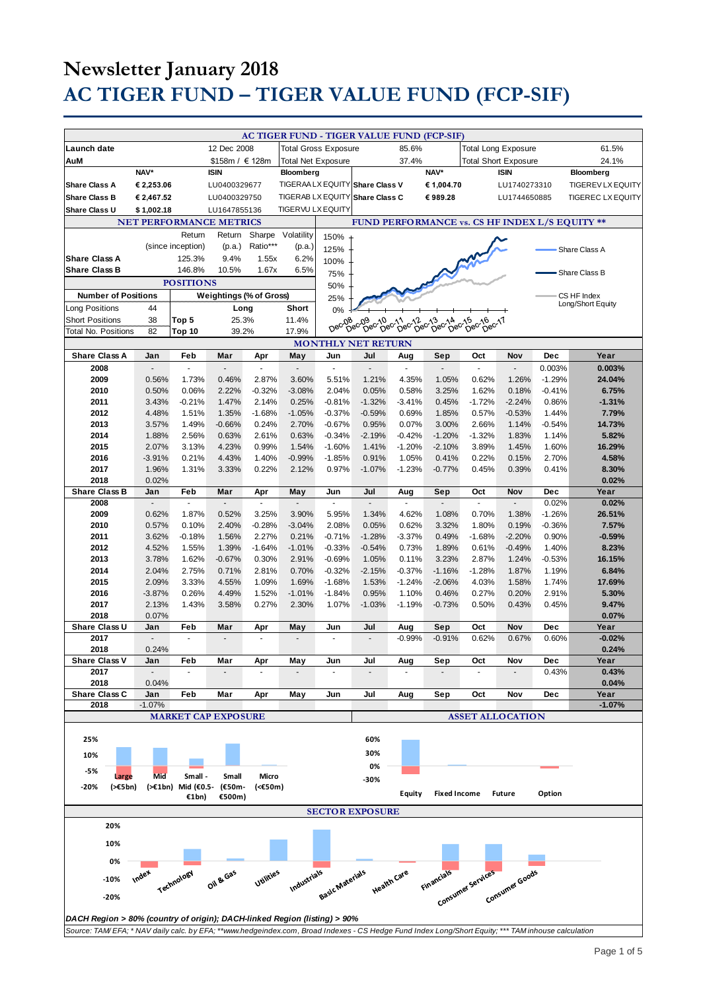# **Newsletter January 2018 AC TIGER FUND – TIGER VALUE FUND (FCP-SIF)**

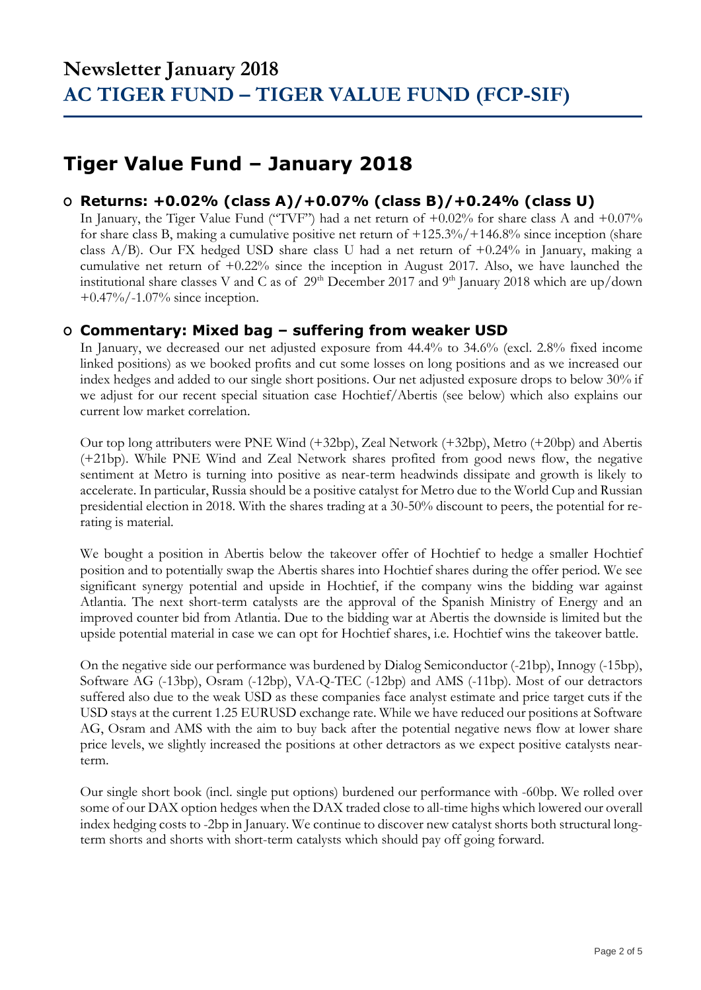## **Tiger Value Fund – January 2018**

### **O Returns: +0.02% (class A)/+0.07% (class B)/+0.24% (class U)**

In January, the Tiger Value Fund ("TVF") had a net return of +0.02% for share class A and +0.07% for share class B, making a cumulative positive net return of +125.3%/+146.8% since inception (share class A/B). Our FX hedged USD share class U had a net return of +0.24% in January, making a cumulative net return of +0.22% since the inception in August 2017. Also, we have launched the institutional share classes V and C as of  $29<sup>th</sup>$  December 2017 and  $9<sup>th</sup>$  January 2018 which are up/down +0.47%/-1.07% since inception.

### **O Commentary: Mixed bag – suffering from weaker USD**

In January, we decreased our net adjusted exposure from 44.4% to 34.6% (excl. 2.8% fixed income linked positions) as we booked profits and cut some losses on long positions and as we increased our index hedges and added to our single short positions. Our net adjusted exposure drops to below 30% if we adjust for our recent special situation case Hochtief/Abertis (see below) which also explains our current low market correlation.

Our top long attributers were PNE Wind (+32bp), Zeal Network (+32bp), Metro (+20bp) and Abertis (+21bp). While PNE Wind and Zeal Network shares profited from good news flow, the negative sentiment at Metro is turning into positive as near-term headwinds dissipate and growth is likely to accelerate. In particular, Russia should be a positive catalyst for Metro due to the World Cup and Russian presidential election in 2018. With the shares trading at a 30-50% discount to peers, the potential for rerating is material.

We bought a position in Abertis below the takeover offer of Hochtief to hedge a smaller Hochtief position and to potentially swap the Abertis shares into Hochtief shares during the offer period. We see significant synergy potential and upside in Hochtief, if the company wins the bidding war against Atlantia. The next short-term catalysts are the approval of the Spanish Ministry of Energy and an improved counter bid from Atlantia. Due to the bidding war at Abertis the downside is limited but the upside potential material in case we can opt for Hochtief shares, i.e. Hochtief wins the takeover battle.

On the negative side our performance was burdened by Dialog Semiconductor (-21bp), Innogy (-15bp), Software AG (-13bp), Osram (-12bp), VA-Q-TEC (-12bp) and AMS (-11bp). Most of our detractors suffered also due to the weak USD as these companies face analyst estimate and price target cuts if the USD stays at the current 1.25 EURUSD exchange rate. While we have reduced our positions at Software AG, Osram and AMS with the aim to buy back after the potential negative news flow at lower share price levels, we slightly increased the positions at other detractors as we expect positive catalysts nearterm.

Our single short book (incl. single put options) burdened our performance with -60bp. We rolled over some of our DAX option hedges when the DAX traded close to all-time highs which lowered our overall index hedging costs to -2bp in January. We continue to discover new catalyst shorts both structural longterm shorts and shorts with short-term catalysts which should pay off going forward.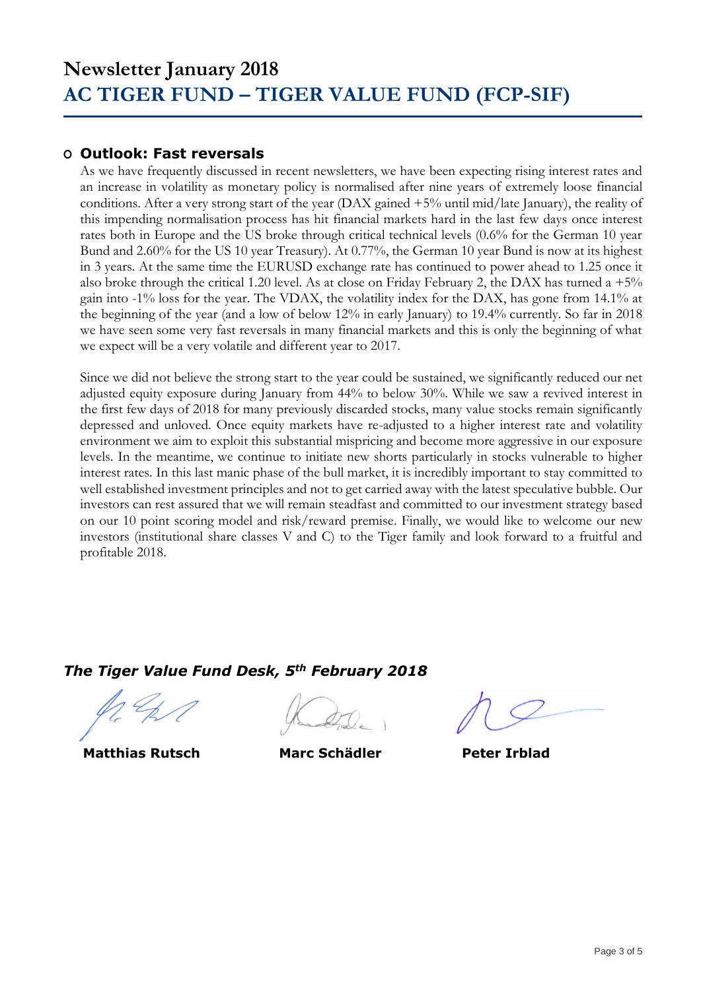### **O Outlook: Fast reversals**

As we have frequently discussed in recent newsletters, we have been expecting rising interest rates and an increase in volatility as monetary policy is normalised after nine years of extremely loose financial conditions. After a very strong start of the year (DAX gained +5% until mid/late January), the reality of this impending normalisation process has hit financial markets hard in the last few days once interest rates both in Europe and the US broke through critical technical levels (0.6% for the German 10 year Bund and 2.60% for the US 10 year Treasury). At 0.77%, the German 10 year Bund is now at its highest in 3 years. At the same time the EURUSD exchange rate has continued to power ahead to 1.25 once it also broke through the critical 1.20 level. As at close on Friday February 2, the DAX has turned a  $+5\%$ gain into -1% loss for the year. The VDAX, the volatility index for the DAX, has gone from 14.1% at the beginning of the year (and a low of below 12% in early January) to 19.4% currently. So far in 2018 we have seen some very fast reversals in many financial markets and this is only the beginning of what we expect will be a very volatile and different year to 2017.

Since we did not believe the strong start to the year could be sustained, we significantly reduced our net adjusted equity exposure during January from 44% to below 30%. While we saw a revived interest in the first few days of 2018 for many previously discarded stocks, many value stocks remain significantly depressed and unloved. Once equity markets have re-adjusted to a higher interest rate and volatility environment we aim to exploit this substantial mispricing and become more aggressive in our exposure levels. In the meantime, we continue to initiate new shorts particularly in stocks vulnerable to higher interest rates. In this last manic phase of the bull market, it is incredibly important to stay committed to well established investment principles and not to get carried away with the latest speculative bubble. Our investors can rest assured that we will remain steadfast and committed to our investment strategy based on our 10 point scoring model and risk/reward premise. Finally, we would like to welcome our new investors (institutional share classes V and C) to the Tiger family and look forward to a fruitful and profitable 2018.

## *The Tiger Value Fund Desk, 5th February 2018*

 **Matthias Rutsch Marc Schädler Peter Irblad**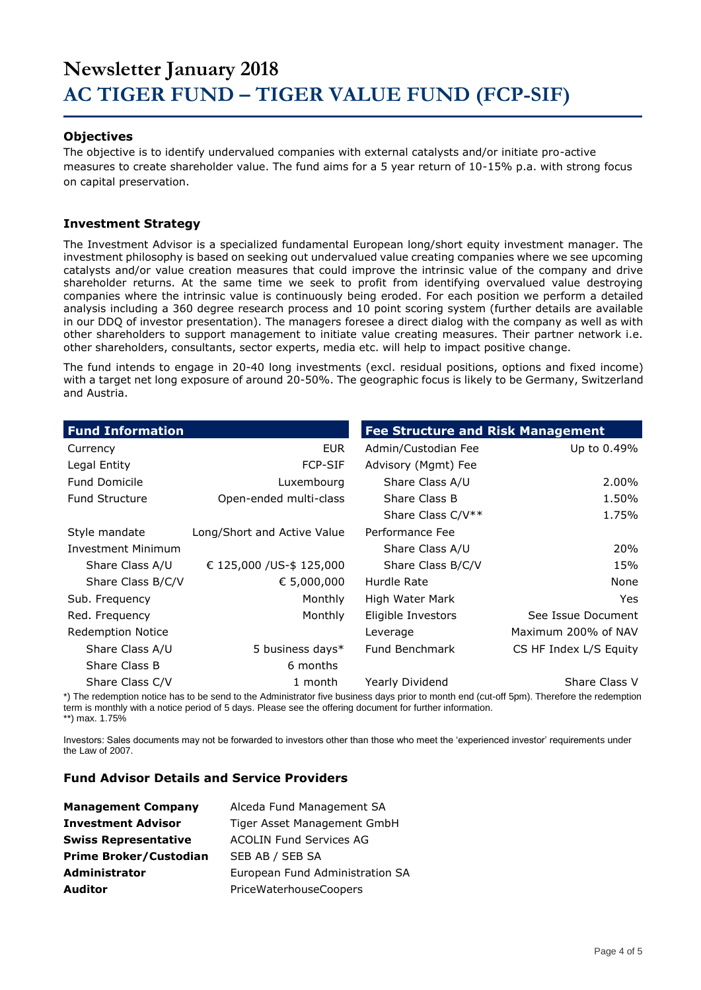# **Newsletter January 2018 AC TIGER FUND – TIGER VALUE FUND (FCP-SIF)**

#### **Objectives**

The objective is to identify undervalued companies with external catalysts and/or initiate pro-active measures to create shareholder value. The fund aims for a 5 year return of 10-15% p.a. with strong focus on capital preservation.

#### **Investment Strategy**

The Investment Advisor is a specialized fundamental European long/short equity investment manager. The investment philosophy is based on seeking out undervalued value creating companies where we see upcoming catalysts and/or value creation measures that could improve the intrinsic value of the company and drive shareholder returns. At the same time we seek to profit from identifying overvalued value destroying companies where the intrinsic value is continuously being eroded. For each position we perform a detailed analysis including a 360 degree research process and 10 point scoring system (further details are available in our DDQ of investor presentation). The managers foresee a direct dialog with the company as well as with other shareholders to support management to initiate value creating measures. Their partner network i.e. other shareholders, consultants, sector experts, media etc. will help to impact positive change.

The fund intends to engage in 20-40 long investments (excl. residual positions, options and fixed income) with a target net long exposure of around 20-50%. The geographic focus is likely to be Germany, Switzerland and Austria.

| <b>Fund Information</b>  |                             | <b>Fee Structure and Risk Management</b> |                        |
|--------------------------|-----------------------------|------------------------------------------|------------------------|
| Currency                 | <b>EUR</b>                  | Admin/Custodian Fee                      | Up to 0.49%            |
| Legal Entity             | <b>FCP-SIF</b>              | Advisory (Mgmt) Fee                      |                        |
| <b>Fund Domicile</b>     | Luxembourg                  | Share Class A/U                          | 2.00%                  |
| <b>Fund Structure</b>    | Open-ended multi-class      | Share Class B                            | 1.50%                  |
|                          |                             | Share Class C/V**                        | 1.75%                  |
| Style mandate            | Long/Short and Active Value | Performance Fee                          |                        |
| Investment Minimum       |                             | Share Class A/U                          | 20%                    |
| Share Class A/U          | € 125,000 / US-\$ 125,000   | Share Class B/C/V                        | 15%                    |
| Share Class B/C/V        | € 5,000,000                 | Hurdle Rate                              | None                   |
| Sub. Frequency           | Monthly                     | High Water Mark                          | Yes                    |
| Red. Frequency           | Monthly                     | Eligible Investors                       | See Issue Document     |
| <b>Redemption Notice</b> |                             | Leverage                                 | Maximum 200% of NAV    |
| Share Class A/U          | 5 business days*            | Fund Benchmark                           | CS HF Index L/S Equity |
| Share Class B            | 6 months                    |                                          |                        |
| Share Class C/V          | 1 month                     | Yearly Dividend                          | Share Class V          |

\*) The redemption notice has to be send to the Administrator five business days prior to month end (cut-off 5pm). Therefore the redemption term is monthly with a notice period of 5 days. Please see the offering document for further information. \*\*) max. 1.75%

Investors: Sales documents may not be forwarded to investors other than those who meet the 'experienced investor' requirements under the Law of 2007.

#### **Fund Advisor Details and Service Providers**

| <b>Management Company</b>     | Alceda Fund Management SA       |  |
|-------------------------------|---------------------------------|--|
| <b>Investment Advisor</b>     | Tiger Asset Management GmbH     |  |
| <b>Swiss Representative</b>   | <b>ACOLIN Fund Services AG</b>  |  |
| <b>Prime Broker/Custodian</b> | SEB AB / SEB SA                 |  |
| <b>Administrator</b>          | European Fund Administration SA |  |
| <b>Auditor</b>                | PriceWaterhouseCoopers          |  |